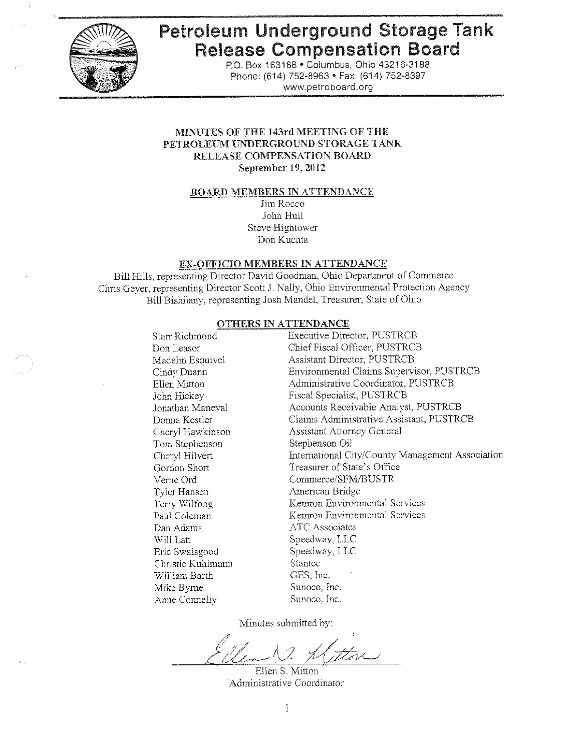

# Petroleum Underground Storage Tank **Release Compensation Board**

P.O. Box 163188 . Columbus, Ohio 43216-3188 Phone: (614) 752-8963 • Fax: (614) 752-8397 www.petroboard.org

#### MINUTES OF THE 143rd MEETING OF THE PETROLEUM UNDERGROUND STORAGE TANK RELEASE COMPENSATION BOARD September 19, 2012

#### **BOARD MEMBERS IN ATTENDANCE**

Jim Rocco John Hull Steve Hightower Don Kuchta

#### EX-OFFICIO MEMBERS IN ATTENDANCE

Bill Hills, representing Director David Goodman, Ohio Department of Commerce Chris Geyer, representing Director Scott J. Nally, Ohio Environmental Protection Agency Bill Bishilany, representing Josh Mandel, Treasurer, State of Ohio

#### **OTHERS IN ATTENDANCE**

| International City/County Management Association |
|--------------------------------------------------|
|                                                  |
|                                                  |
|                                                  |
|                                                  |
|                                                  |
|                                                  |
|                                                  |
|                                                  |
|                                                  |
|                                                  |
|                                                  |
|                                                  |
|                                                  |

Minutes submitted by:

Ellen S. Mitton Administrative Coordinator

1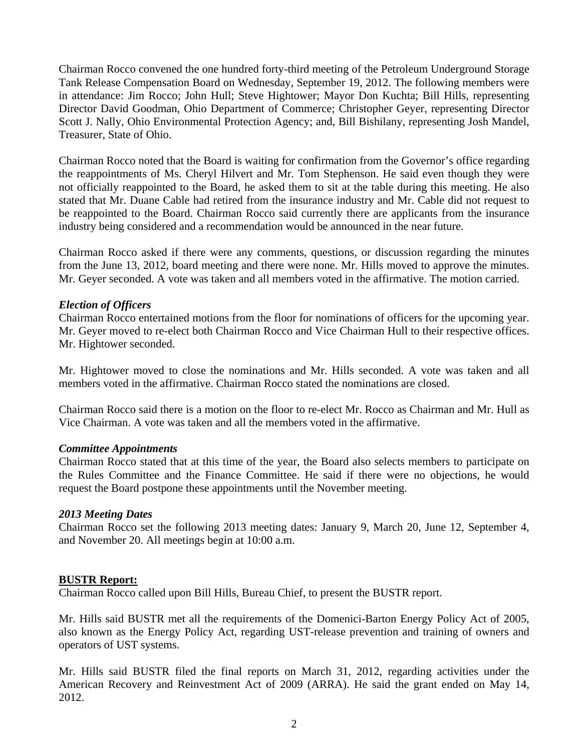Chairman Rocco convened the one hundred forty-third meeting of the Petroleum Underground Storage Tank Release Compensation Board on Wednesday, September 19, 2012. The following members were in attendance: Jim Rocco; John Hull; Steve Hightower; Mayor Don Kuchta; Bill Hills, representing Director David Goodman, Ohio Department of Commerce; Christopher Geyer, representing Director Scott J. Nally, Ohio Environmental Protection Agency; and, Bill Bishilany, representing Josh Mandel, Treasurer, State of Ohio.

Chairman Rocco noted that the Board is waiting for confirmation from the Governor's office regarding the reappointments of Ms. Cheryl Hilvert and Mr. Tom Stephenson. He said even though they were not officially reappointed to the Board, he asked them to sit at the table during this meeting. He also stated that Mr. Duane Cable had retired from the insurance industry and Mr. Cable did not request to be reappointed to the Board. Chairman Rocco said currently there are applicants from the insurance industry being considered and a recommendation would be announced in the near future.

Chairman Rocco asked if there were any comments, questions, or discussion regarding the minutes from the June 13, 2012, board meeting and there were none. Mr. Hills moved to approve the minutes. Mr. Geyer seconded. A vote was taken and all members voted in the affirmative. The motion carried.

#### *Election of Officers*

Chairman Rocco entertained motions from the floor for nominations of officers for the upcoming year. Mr. Geyer moved to re-elect both Chairman Rocco and Vice Chairman Hull to their respective offices. Mr. Hightower seconded.

Mr. Hightower moved to close the nominations and Mr. Hills seconded. A vote was taken and all members voted in the affirmative. Chairman Rocco stated the nominations are closed.

Chairman Rocco said there is a motion on the floor to re-elect Mr. Rocco as Chairman and Mr. Hull as Vice Chairman. A vote was taken and all the members voted in the affirmative.

#### *Committee Appointments*

Chairman Rocco stated that at this time of the year, the Board also selects members to participate on the Rules Committee and the Finance Committee. He said if there were no objections, he would request the Board postpone these appointments until the November meeting.

## *2013 Meeting Dates*

Chairman Rocco set the following 2013 meeting dates: January 9, March 20, June 12, September 4, and November 20. All meetings begin at 10:00 a.m.

#### **BUSTR Report:**

Chairman Rocco called upon Bill Hills, Bureau Chief, to present the BUSTR report.

Mr. Hills said BUSTR met all the requirements of the Domenici-Barton Energy Policy Act of 2005, also known as the Energy Policy Act, regarding UST-release prevention and training of owners and operators of UST systems.

Mr. Hills said BUSTR filed the final reports on March 31, 2012, regarding activities under the American Recovery and Reinvestment Act of 2009 (ARRA). He said the grant ended on May 14, 2012.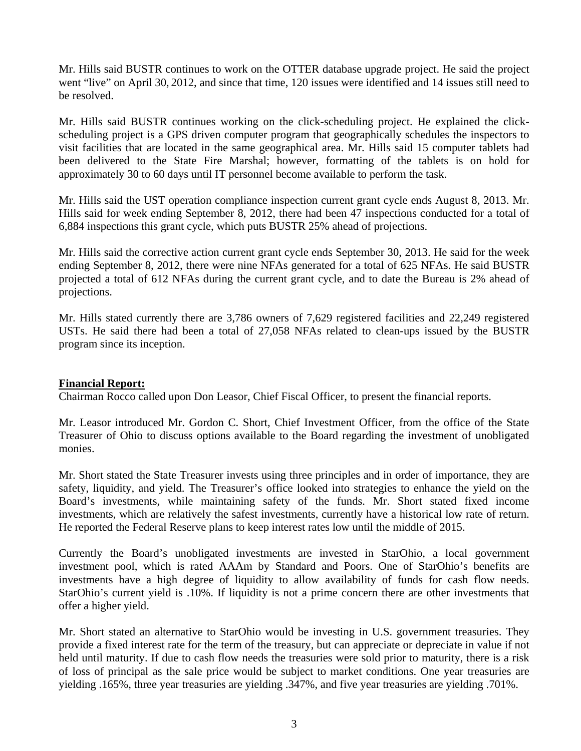Mr. Hills said BUSTR continues to work on the OTTER database upgrade project. He said the project went "live" on April 30, 2012, and since that time, 120 issues were identified and 14 issues still need to be resolved.

Mr. Hills said BUSTR continues working on the click-scheduling project. He explained the clickscheduling project is a GPS driven computer program that geographically schedules the inspectors to visit facilities that are located in the same geographical area. Mr. Hills said 15 computer tablets had been delivered to the State Fire Marshal; however, formatting of the tablets is on hold for approximately 30 to 60 days until IT personnel become available to perform the task.

Mr. Hills said the UST operation compliance inspection current grant cycle ends August 8, 2013. Mr. Hills said for week ending September 8, 2012, there had been 47 inspections conducted for a total of 6,884 inspections this grant cycle, which puts BUSTR 25% ahead of projections.

Mr. Hills said the corrective action current grant cycle ends September 30, 2013. He said for the week ending September 8, 2012, there were nine NFAs generated for a total of 625 NFAs. He said BUSTR projected a total of 612 NFAs during the current grant cycle, and to date the Bureau is 2% ahead of projections.

Mr. Hills stated currently there are 3,786 owners of 7,629 registered facilities and 22,249 registered USTs. He said there had been a total of 27,058 NFAs related to clean-ups issued by the BUSTR program since its inception.

## **Financial Report:**

Chairman Rocco called upon Don Leasor, Chief Fiscal Officer, to present the financial reports.

Mr. Leasor introduced Mr. Gordon C. Short, Chief Investment Officer, from the office of the State Treasurer of Ohio to discuss options available to the Board regarding the investment of unobligated monies.

Mr. Short stated the State Treasurer invests using three principles and in order of importance, they are safety, liquidity, and yield. The Treasurer's office looked into strategies to enhance the yield on the Board's investments, while maintaining safety of the funds. Mr. Short stated fixed income investments, which are relatively the safest investments, currently have a historical low rate of return. He reported the Federal Reserve plans to keep interest rates low until the middle of 2015.

Currently the Board's unobligated investments are invested in StarOhio, a local government investment pool, which is rated AAAm by Standard and Poors. One of StarOhio's benefits are investments have a high degree of liquidity to allow availability of funds for cash flow needs. StarOhio's current yield is .10%. If liquidity is not a prime concern there are other investments that offer a higher yield.

Mr. Short stated an alternative to StarOhio would be investing in U.S. government treasuries. They provide a fixed interest rate for the term of the treasury, but can appreciate or depreciate in value if not held until maturity. If due to cash flow needs the treasuries were sold prior to maturity, there is a risk of loss of principal as the sale price would be subject to market conditions. One year treasuries are yielding .165%, three year treasuries are yielding .347%, and five year treasuries are yielding .701%.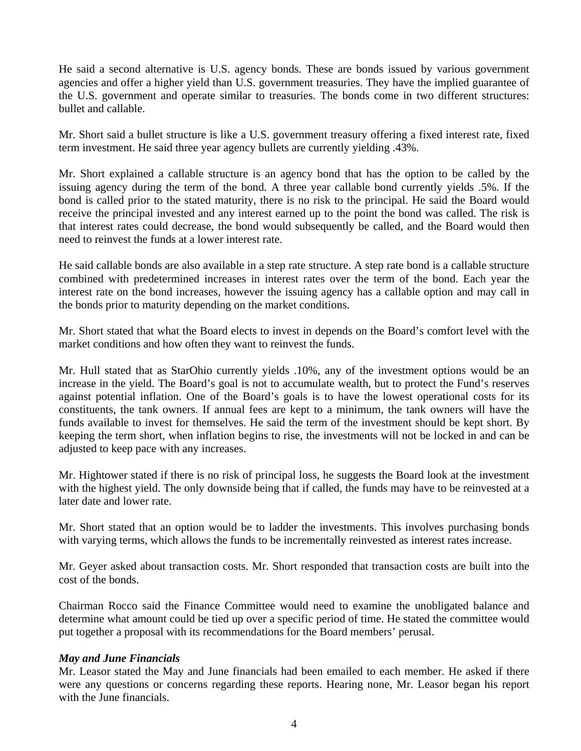He said a second alternative is U.S. agency bonds. These are bonds issued by various government agencies and offer a higher yield than U.S. government treasuries. They have the implied guarantee of the U.S. government and operate similar to treasuries. The bonds come in two different structures: bullet and callable.

Mr. Short said a bullet structure is like a U.S. government treasury offering a fixed interest rate, fixed term investment. He said three year agency bullets are currently yielding .43%.

Mr. Short explained a callable structure is an agency bond that has the option to be called by the issuing agency during the term of the bond. A three year callable bond currently yields .5%. If the bond is called prior to the stated maturity, there is no risk to the principal. He said the Board would receive the principal invested and any interest earned up to the point the bond was called. The risk is that interest rates could decrease, the bond would subsequently be called, and the Board would then need to reinvest the funds at a lower interest rate.

He said callable bonds are also available in a step rate structure. A step rate bond is a callable structure combined with predetermined increases in interest rates over the term of the bond. Each year the interest rate on the bond increases, however the issuing agency has a callable option and may call in the bonds prior to maturity depending on the market conditions.

Mr. Short stated that what the Board elects to invest in depends on the Board's comfort level with the market conditions and how often they want to reinvest the funds.

Mr. Hull stated that as StarOhio currently yields .10%, any of the investment options would be an increase in the yield. The Board's goal is not to accumulate wealth, but to protect the Fund's reserves against potential inflation. One of the Board's goals is to have the lowest operational costs for its constituents, the tank owners. If annual fees are kept to a minimum, the tank owners will have the funds available to invest for themselves. He said the term of the investment should be kept short. By keeping the term short, when inflation begins to rise, the investments will not be locked in and can be adjusted to keep pace with any increases.

Mr. Hightower stated if there is no risk of principal loss, he suggests the Board look at the investment with the highest yield. The only downside being that if called, the funds may have to be reinvested at a later date and lower rate.

Mr. Short stated that an option would be to ladder the investments. This involves purchasing bonds with varying terms, which allows the funds to be incrementally reinvested as interest rates increase.

Mr. Geyer asked about transaction costs. Mr. Short responded that transaction costs are built into the cost of the bonds.

Chairman Rocco said the Finance Committee would need to examine the unobligated balance and determine what amount could be tied up over a specific period of time. He stated the committee would put together a proposal with its recommendations for the Board members' perusal.

## *May and June Financials*

Mr. Leasor stated the May and June financials had been emailed to each member. He asked if there were any questions or concerns regarding these reports. Hearing none, Mr. Leasor began his report with the June financials.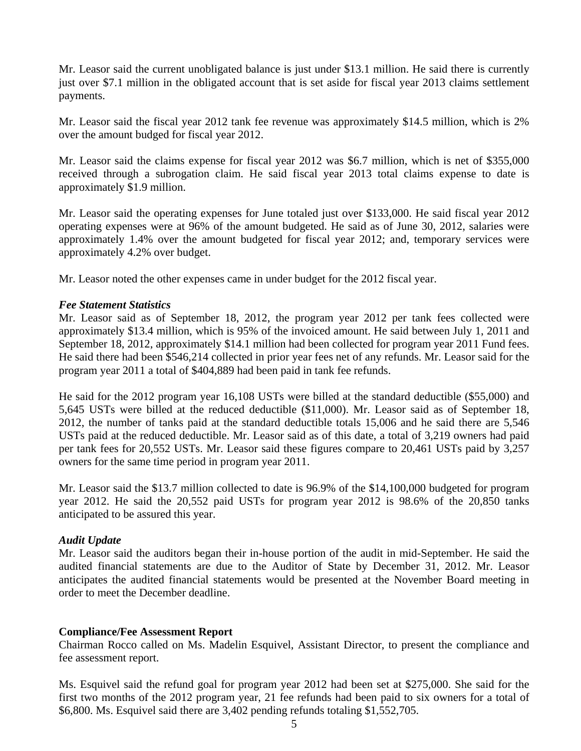Mr. Leasor said the current unobligated balance is just under \$13.1 million. He said there is currently just over \$7.1 million in the obligated account that is set aside for fiscal year 2013 claims settlement payments.

Mr. Leasor said the fiscal year 2012 tank fee revenue was approximately \$14.5 million, which is 2% over the amount budged for fiscal year 2012.

Mr. Leasor said the claims expense for fiscal year 2012 was \$6.7 million, which is net of \$355,000 received through a subrogation claim. He said fiscal year 2013 total claims expense to date is approximately \$1.9 million.

Mr. Leasor said the operating expenses for June totaled just over \$133,000. He said fiscal year 2012 operating expenses were at 96% of the amount budgeted. He said as of June 30, 2012, salaries were approximately 1.4% over the amount budgeted for fiscal year 2012; and, temporary services were approximately 4.2% over budget.

Mr. Leasor noted the other expenses came in under budget for the 2012 fiscal year.

#### *Fee Statement Statistics*

Mr. Leasor said as of September 18, 2012, the program year 2012 per tank fees collected were approximately \$13.4 million, which is 95% of the invoiced amount. He said between July 1, 2011 and September 18, 2012, approximately \$14.1 million had been collected for program year 2011 Fund fees. He said there had been \$546,214 collected in prior year fees net of any refunds. Mr. Leasor said for the program year 2011 a total of \$404,889 had been paid in tank fee refunds.

He said for the 2012 program year 16,108 USTs were billed at the standard deductible (\$55,000) and 5,645 USTs were billed at the reduced deductible (\$11,000). Mr. Leasor said as of September 18, 2012, the number of tanks paid at the standard deductible totals 15,006 and he said there are 5,546 USTs paid at the reduced deductible. Mr. Leasor said as of this date, a total of 3,219 owners had paid per tank fees for 20,552 USTs. Mr. Leasor said these figures compare to 20,461 USTs paid by 3,257 owners for the same time period in program year 2011.

Mr. Leasor said the \$13.7 million collected to date is 96.9% of the \$14,100,000 budgeted for program year 2012. He said the 20,552 paid USTs for program year 2012 is 98.6% of the 20,850 tanks anticipated to be assured this year.

## *Audit Update*

Mr. Leasor said the auditors began their in-house portion of the audit in mid-September. He said the audited financial statements are due to the Auditor of State by December 31, 2012. Mr. Leasor anticipates the audited financial statements would be presented at the November Board meeting in order to meet the December deadline.

#### **Compliance/Fee Assessment Report**

Chairman Rocco called on Ms. Madelin Esquivel, Assistant Director, to present the compliance and fee assessment report.

Ms. Esquivel said the refund goal for program year 2012 had been set at \$275,000. She said for the first two months of the 2012 program year, 21 fee refunds had been paid to six owners for a total of \$6,800. Ms. Esquivel said there are 3,402 pending refunds totaling \$1,552,705.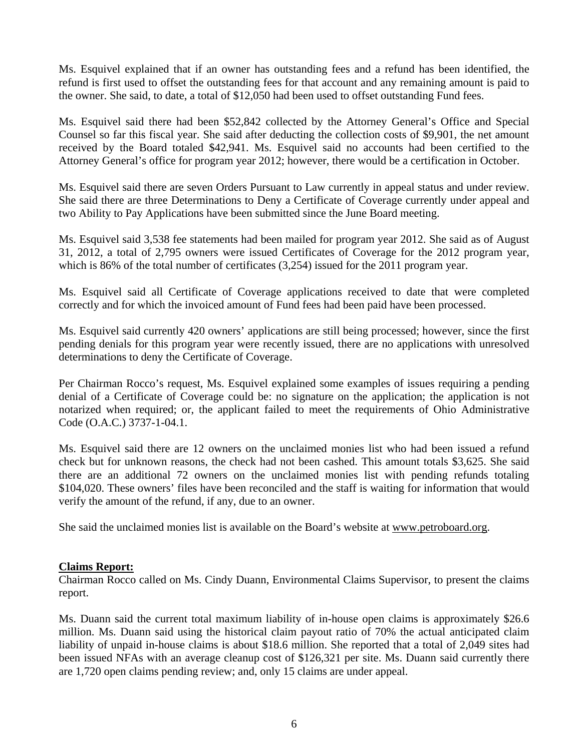Ms. Esquivel explained that if an owner has outstanding fees and a refund has been identified, the refund is first used to offset the outstanding fees for that account and any remaining amount is paid to the owner. She said, to date, a total of \$12,050 had been used to offset outstanding Fund fees.

Ms. Esquivel said there had been \$52,842 collected by the Attorney General's Office and Special Counsel so far this fiscal year. She said after deducting the collection costs of \$9,901, the net amount received by the Board totaled \$42,941. Ms. Esquivel said no accounts had been certified to the Attorney General's office for program year 2012; however, there would be a certification in October.

Ms. Esquivel said there are seven Orders Pursuant to Law currently in appeal status and under review. She said there are three Determinations to Deny a Certificate of Coverage currently under appeal and two Ability to Pay Applications have been submitted since the June Board meeting.

Ms. Esquivel said 3,538 fee statements had been mailed for program year 2012. She said as of August 31, 2012, a total of 2,795 owners were issued Certificates of Coverage for the 2012 program year, which is 86% of the total number of certificates  $(3,254)$  issued for the 2011 program year.

Ms. Esquivel said all Certificate of Coverage applications received to date that were completed correctly and for which the invoiced amount of Fund fees had been paid have been processed.

Ms. Esquivel said currently 420 owners' applications are still being processed; however, since the first pending denials for this program year were recently issued, there are no applications with unresolved determinations to deny the Certificate of Coverage.

Per Chairman Rocco's request, Ms. Esquivel explained some examples of issues requiring a pending denial of a Certificate of Coverage could be: no signature on the application; the application is not notarized when required; or, the applicant failed to meet the requirements of Ohio Administrative Code (O.A.C.) 3737-1-04.1.

Ms. Esquivel said there are 12 owners on the unclaimed monies list who had been issued a refund check but for unknown reasons, the check had not been cashed. This amount totals \$3,625. She said there are an additional 72 owners on the unclaimed monies list with pending refunds totaling \$104,020. These owners' files have been reconciled and the staff is waiting for information that would verify the amount of the refund, if any, due to an owner.

She said the unclaimed monies list is available on the Board's website at www.petroboard.org.

## **Claims Report:**

Chairman Rocco called on Ms. Cindy Duann, Environmental Claims Supervisor, to present the claims report.

Ms. Duann said the current total maximum liability of in-house open claims is approximately \$26.6 million. Ms. Duann said using the historical claim payout ratio of 70% the actual anticipated claim liability of unpaid in-house claims is about \$18.6 million. She reported that a total of 2,049 sites had been issued NFAs with an average cleanup cost of \$126,321 per site. Ms. Duann said currently there are 1,720 open claims pending review; and, only 15 claims are under appeal.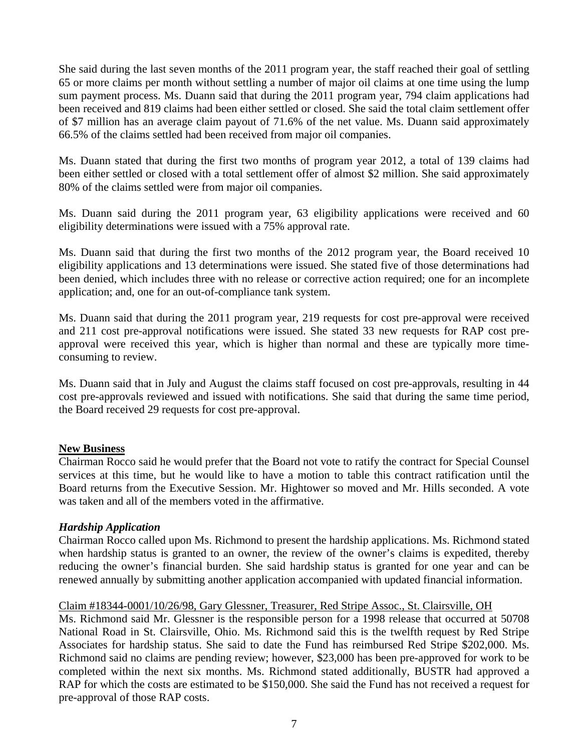She said during the last seven months of the 2011 program year, the staff reached their goal of settling 65 or more claims per month without settling a number of major oil claims at one time using the lump sum payment process. Ms. Duann said that during the 2011 program year, 794 claim applications had been received and 819 claims had been either settled or closed. She said the total claim settlement offer of \$7 million has an average claim payout of 71.6% of the net value. Ms. Duann said approximately 66.5% of the claims settled had been received from major oil companies.

Ms. Duann stated that during the first two months of program year 2012, a total of 139 claims had been either settled or closed with a total settlement offer of almost \$2 million. She said approximately 80% of the claims settled were from major oil companies.

Ms. Duann said during the 2011 program year, 63 eligibility applications were received and 60 eligibility determinations were issued with a 75% approval rate.

Ms. Duann said that during the first two months of the 2012 program year, the Board received 10 eligibility applications and 13 determinations were issued. She stated five of those determinations had been denied, which includes three with no release or corrective action required; one for an incomplete application; and, one for an out-of-compliance tank system.

Ms. Duann said that during the 2011 program year, 219 requests for cost pre-approval were received and 211 cost pre-approval notifications were issued. She stated 33 new requests for RAP cost preapproval were received this year, which is higher than normal and these are typically more timeconsuming to review.

Ms. Duann said that in July and August the claims staff focused on cost pre-approvals, resulting in 44 cost pre-approvals reviewed and issued with notifications. She said that during the same time period, the Board received 29 requests for cost pre-approval.

## **New Business**

Chairman Rocco said he would prefer that the Board not vote to ratify the contract for Special Counsel services at this time, but he would like to have a motion to table this contract ratification until the Board returns from the Executive Session. Mr. Hightower so moved and Mr. Hills seconded. A vote was taken and all of the members voted in the affirmative.

## *Hardship Application*

Chairman Rocco called upon Ms. Richmond to present the hardship applications. Ms. Richmond stated when hardship status is granted to an owner, the review of the owner's claims is expedited, thereby reducing the owner's financial burden. She said hardship status is granted for one year and can be renewed annually by submitting another application accompanied with updated financial information.

## Claim #18344-0001/10/26/98, Gary Glessner, Treasurer, Red Stripe Assoc., St. Clairsville, OH

Ms. Richmond said Mr. Glessner is the responsible person for a 1998 release that occurred at 50708 National Road in St. Clairsville, Ohio. Ms. Richmond said this is the twelfth request by Red Stripe Associates for hardship status. She said to date the Fund has reimbursed Red Stripe \$202,000. Ms. Richmond said no claims are pending review; however, \$23,000 has been pre-approved for work to be completed within the next six months. Ms. Richmond stated additionally, BUSTR had approved a RAP for which the costs are estimated to be \$150,000. She said the Fund has not received a request for pre-approval of those RAP costs.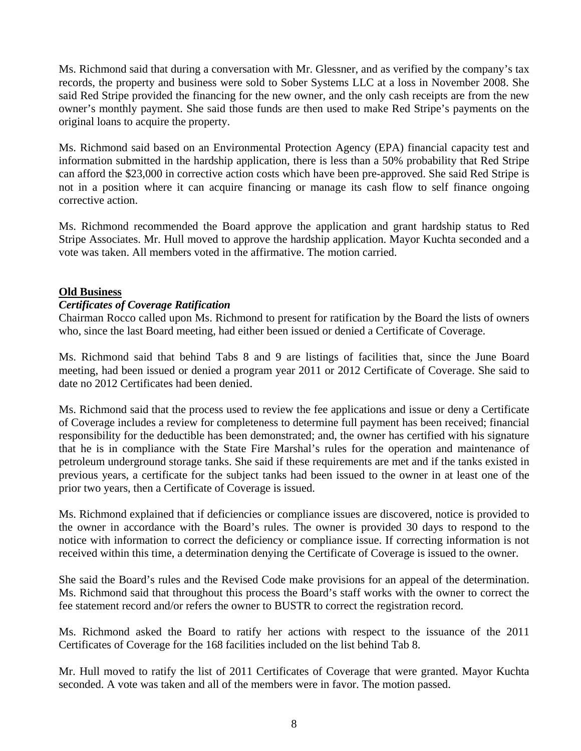Ms. Richmond said that during a conversation with Mr. Glessner, and as verified by the company's tax records, the property and business were sold to Sober Systems LLC at a loss in November 2008. She said Red Stripe provided the financing for the new owner, and the only cash receipts are from the new owner's monthly payment. She said those funds are then used to make Red Stripe's payments on the original loans to acquire the property.

Ms. Richmond said based on an Environmental Protection Agency (EPA) financial capacity test and information submitted in the hardship application, there is less than a 50% probability that Red Stripe can afford the \$23,000 in corrective action costs which have been pre-approved. She said Red Stripe is not in a position where it can acquire financing or manage its cash flow to self finance ongoing corrective action.

Ms. Richmond recommended the Board approve the application and grant hardship status to Red Stripe Associates. Mr. Hull moved to approve the hardship application. Mayor Kuchta seconded and a vote was taken. All members voted in the affirmative. The motion carried.

## **Old Business**

# *Certificates of Coverage Ratification*

Chairman Rocco called upon Ms. Richmond to present for ratification by the Board the lists of owners who, since the last Board meeting, had either been issued or denied a Certificate of Coverage.

Ms. Richmond said that behind Tabs 8 and 9 are listings of facilities that, since the June Board meeting, had been issued or denied a program year 2011 or 2012 Certificate of Coverage. She said to date no 2012 Certificates had been denied.

Ms. Richmond said that the process used to review the fee applications and issue or deny a Certificate of Coverage includes a review for completeness to determine full payment has been received; financial responsibility for the deductible has been demonstrated; and, the owner has certified with his signature that he is in compliance with the State Fire Marshal's rules for the operation and maintenance of petroleum underground storage tanks. She said if these requirements are met and if the tanks existed in previous years, a certificate for the subject tanks had been issued to the owner in at least one of the prior two years, then a Certificate of Coverage is issued.

Ms. Richmond explained that if deficiencies or compliance issues are discovered, notice is provided to the owner in accordance with the Board's rules. The owner is provided 30 days to respond to the notice with information to correct the deficiency or compliance issue. If correcting information is not received within this time, a determination denying the Certificate of Coverage is issued to the owner.

She said the Board's rules and the Revised Code make provisions for an appeal of the determination. Ms. Richmond said that throughout this process the Board's staff works with the owner to correct the fee statement record and/or refers the owner to BUSTR to correct the registration record.

Ms. Richmond asked the Board to ratify her actions with respect to the issuance of the 2011 Certificates of Coverage for the 168 facilities included on the list behind Tab 8.

Mr. Hull moved to ratify the list of 2011 Certificates of Coverage that were granted. Mayor Kuchta seconded. A vote was taken and all of the members were in favor. The motion passed.